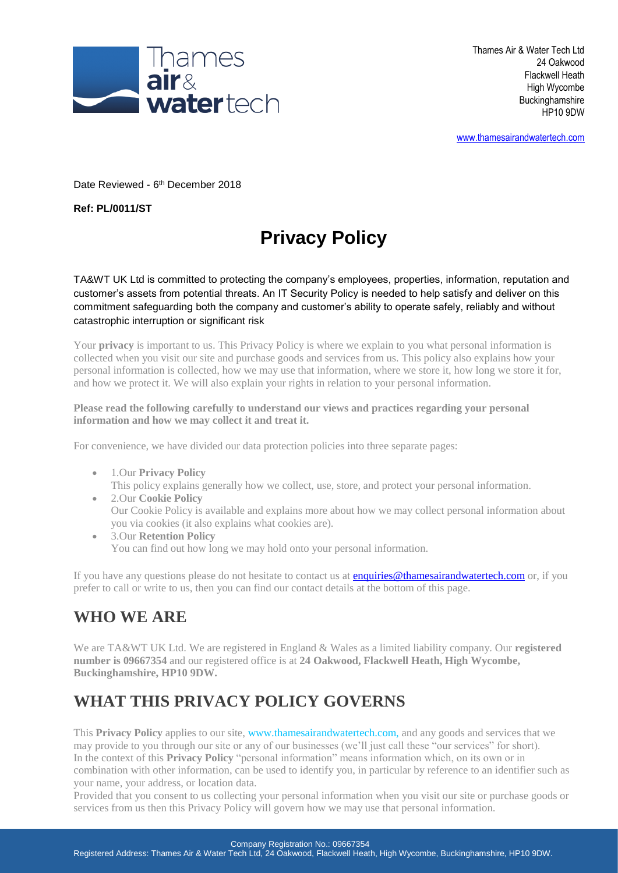

Thames Air & Water Tech Ltd 24 Oakwood Flackwell Heath High Wycombe **Buckinghamshire** HP10 9DW

[www.thamesairandwatertech.com](http://www.thamesairandwatertech.com/)

Date Reviewed - 6<sup>th</sup> December 2018

**Ref: PL/0011/ST**

# **Privacy Policy**

TA&WT UK Ltd is committed to protecting the company's employees, properties, information, reputation and customer's assets from potential threats. An IT Security Policy is needed to help satisfy and deliver on this commitment safeguarding both the company and customer's ability to operate safely, reliably and without catastrophic interruption or significant risk

Your **privacy** is important to us. This Privacy Policy is where we explain to you what personal information is collected when you visit our site and purchase goods and services from us. This policy also explains how your personal information is collected, how we may use that information, where we store it, how long we store it for, and how we protect it. We will also explain your rights in relation to your personal information.

**Please read the following carefully to understand our views and practices regarding your personal information and how we may collect it and treat it.**

For convenience, we have divided our data protection policies into three separate pages:

- 1.Our **Privacy Policy** This policy explains generally how we collect, use, store, and protect your personal information.
- 2.Our **Cookie Policy** Our Cookie Policy is available and explains more about how we may collect personal information about you via cookies (it also explains what cookies are).
- 3.Our **Retention Policy** You can find out how long we may hold onto your personal information.

If you have any questions please do not hesitate to contact us at **enquiries@thamesairandwatertech.com** or, if you prefer to call or write to us, then you can find our contact details at the bottom of this page.

### **WHO WE ARE**

We are TA&WT UK Ltd. We are registered in England & Wales as a limited liability company. Our **registered number is 09667354** and our registered office is at **24 Oakwood, Flackwell Heath, High Wycombe, Buckinghamshire, HP10 9DW.**

### **WHAT THIS PRIVACY POLICY GOVERNS**

This **Privacy Policy** applies to our site, [www.thamesairandwatertech.com,](https://mosaicgroup.org.uk/) and any goods and services that we may provide to you through our site or any of our businesses (we'll just call these "our services" for short). In the context of this **Privacy Policy** "personal information" means information which, on its own or in combination with other information, can be used to identify you, in particular by reference to an identifier such as your name, your address, or location data.

Provided that you consent to us collecting your personal information when you visit our site or purchase goods or services from us then this Privacy Policy will govern how we may use that personal information.

Company Registration No.: 09667354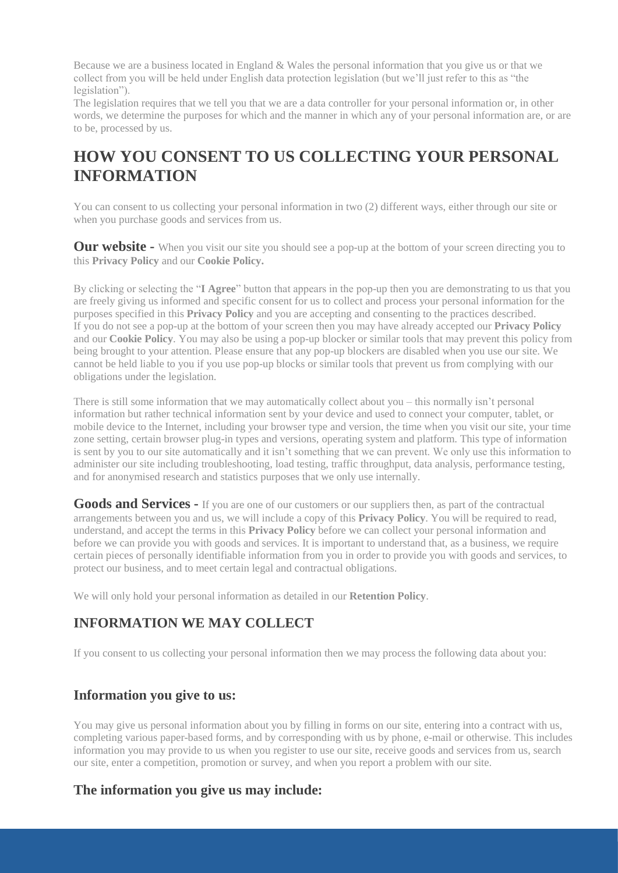Because we are a business located in England  $&$  Wales the personal information that you give us or that we collect from you will be held under English data protection legislation (but we'll just refer to this as "the legislation").

The legislation requires that we tell you that we are a data controller for your personal information or, in other words, we determine the purposes for which and the manner in which any of your personal information are, or are to be, processed by us.

### **HOW YOU CONSENT TO US COLLECTING YOUR PERSONAL INFORMATION**

You can consent to us collecting your personal information in two (2) different ways, either through our site or when you purchase goods and services from us.

**Our website** - When you visit our site you should see a pop-up at the bottom of your screen directing you to this **Privacy Policy** and our **Cookie Policy.**

By clicking or selecting the "**I Agree**" button that appears in the pop-up then you are demonstrating to us that you are freely giving us informed and specific consent for us to collect and process your personal information for the purposes specified in this **Privacy Policy** and you are accepting and consenting to the practices described. If you do not see a pop-up at the bottom of your screen then you may have already accepted our **Privacy Policy** and our **Cookie Policy**. You may also be using a pop-up blocker or similar tools that may prevent this policy from being brought to your attention. Please ensure that any pop-up blockers are disabled when you use our site. We cannot be held liable to you if you use pop-up blocks or similar tools that prevent us from complying with our obligations under the legislation.

There is still some information that we may automatically collect about you – this normally isn't personal information but rather technical information sent by your device and used to connect your computer, tablet, or mobile device to the Internet, including your browser type and version, the time when you visit our site, your time zone setting, certain browser plug-in types and versions, operating system and platform. This type of information is sent by you to our site automatically and it isn't something that we can prevent. We only use this information to administer our site including troubleshooting, load testing, traffic throughput, data analysis, performance testing, and for anonymised research and statistics purposes that we only use internally.

**Goods and Services -** If you are one of our customers or our suppliers then, as part of the contractual arrangements between you and us, we will include a copy of this **Privacy Policy**. You will be required to read, understand, and accept the terms in this **Privacy Policy** before we can collect your personal information and before we can provide you with goods and services. It is important to understand that, as a business, we require certain pieces of personally identifiable information from you in order to provide you with goods and services, to protect our business, and to meet certain legal and contractual obligations.

We will only hold your personal information as detailed in our **Retention Policy**.

### **INFORMATION WE MAY COLLECT**

If you consent to us collecting your personal information then we may process the following data about you:

#### **Information you give to us:**

You may give us personal information about you by filling in forms on our site, entering into a contract with us, completing various paper-based forms, and by corresponding with us by phone, e-mail or otherwise. This includes information you may provide to us when you register to use our site, receive goods and services from us, search our site, enter a competition, promotion or survey, and when you report a problem with our site.

#### **The information you give us may include:**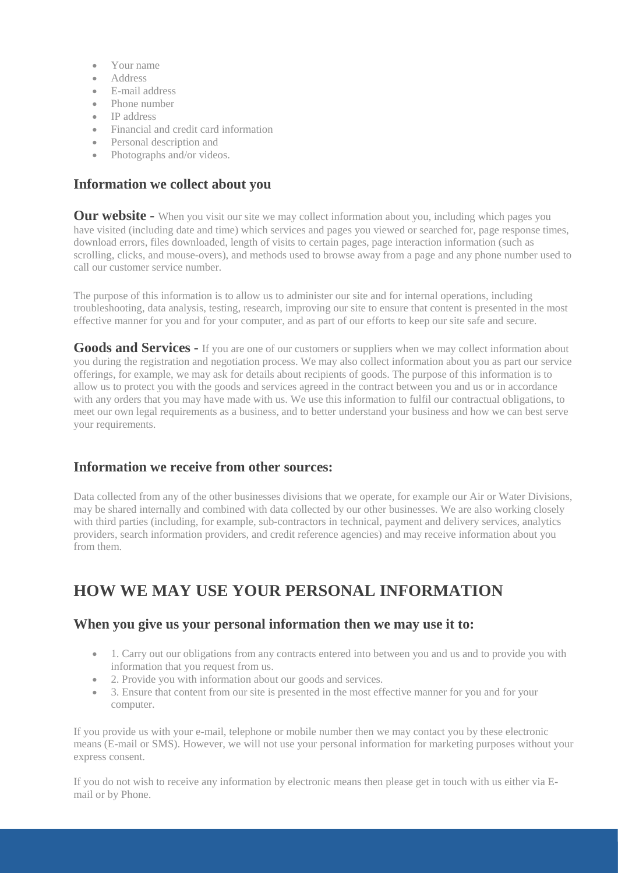- Your name
- Address
- E-mail address
- Phone number
- IP address
- Financial and credit card information
- Personal description and
- Photographs and/or videos.

#### **Information we collect about you**

**Our website** - When you visit our site we may collect information about you, including which pages you have visited (including date and time) which services and pages you viewed or searched for, page response times, download errors, files downloaded, length of visits to certain pages, page interaction information (such as scrolling, clicks, and mouse-overs), and methods used to browse away from a page and any phone number used to call our customer service number.

The purpose of this information is to allow us to administer our site and for internal operations, including troubleshooting, data analysis, testing, research, improving our site to ensure that content is presented in the most effective manner for you and for your computer, and as part of our efforts to keep our site safe and secure.

**Goods and Services -** If you are one of our customers or suppliers when we may collect information about you during the registration and negotiation process. We may also collect information about you as part our service offerings, for example, we may ask for details about recipients of goods. The purpose of this information is to allow us to protect you with the goods and services agreed in the contract between you and us or in accordance with any orders that you may have made with us. We use this information to fulfil our contractual obligations, to meet our own legal requirements as a business, and to better understand your business and how we can best serve your requirements.

#### **Information we receive from other sources:**

Data collected from any of the other businesses divisions that we operate, for example our Air or Water Divisions, may be shared internally and combined with data collected by our other businesses. We are also working closely with third parties (including, for example, sub-contractors in technical, payment and delivery services, analytics providers, search information providers, and credit reference agencies) and may receive information about you from them.

### **HOW WE MAY USE YOUR PERSONAL INFORMATION**

#### **When you give us your personal information then we may use it to:**

- 1. Carry out our obligations from any contracts entered into between you and us and to provide you with information that you request from us.
- 2. Provide you with information about our goods and services.
- 3. Ensure that content from our site is presented in the most effective manner for you and for your computer.

If you provide us with your e-mail, telephone or mobile number then we may contact you by these electronic means (E-mail or SMS). However, we will not use your personal information for marketing purposes without your express consent.

If you do not wish to receive any information by electronic means then please get in touch with us either via Email or by Phone.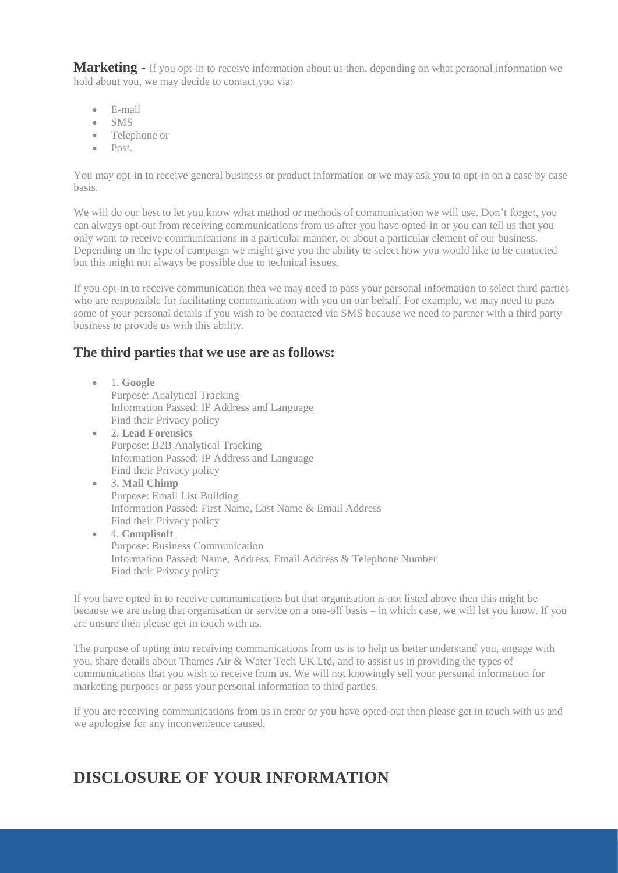**Marketing -** If you opt-in to receive information about us then, depending on what personal information we hold about you, we may decide to contact you via:

- E-mail
- SMS
- Telephone or
- Post.

You may opt-in to receive general business or product information or we may ask you to opt-in on a case by case basis.

We will do our best to let you know what method or methods of communication we will use. Don't forget, you can always opt-out from receiving communications from us after you have opted-in or you can tell us that you only want to receive communications in a particular manner, or about a particular element of our business. Depending on the type of campaign we might give you the ability to select how you would like to be contacted but this might not always be possible due to technical issues.

If you opt-in to receive communication then we may need to pass your personal information to select third parties who are responsible for facilitating communication with you on our behalf. For example, we may need to pass some of your personal details if you wish to be contacted via SMS because we need to partner with a third party business to provide us with this ability.

#### **The third parties that we use are as follows:**

- 1. **Google** Purpose: Analytical Tracking Information Passed: IP Address and Language Find their Privacy policy
- 2. **Lead Forensics** Purpose: B2B Analytical Tracking Information Passed: IP Address and Language Find their Privacy policy
- 3. **Mail Chimp** Purpose: Email List Building Information Passed: First Name, Last Name & Email Address Find their Privacy policy
- 4. **Complisoft** Purpose: Business Communication Information Passed: Name, Address, Email Address & Telephone Number Find their Privacy policy

If you have opted-in to receive communications but that organisation is not listed above then this might be because we are using that organisation or service on a one-off basis – in which case, we will let you know. If you are unsure then please get in touch with us.

The purpose of opting into receiving communications from us is to help us better understand you, engage with you, share details about Thames Air & Water Tech UK Ltd, and to assist us in providing the types of communications that you wish to receive from us. We will not knowingly sell your personal information for marketing purposes or pass your personal information to third parties.

If you are receiving communications from us in error or you have opted-out then please get in touch with us and we apologise for any inconvenience caused.

### **DISCLOSURE OF YOUR INFORMATION**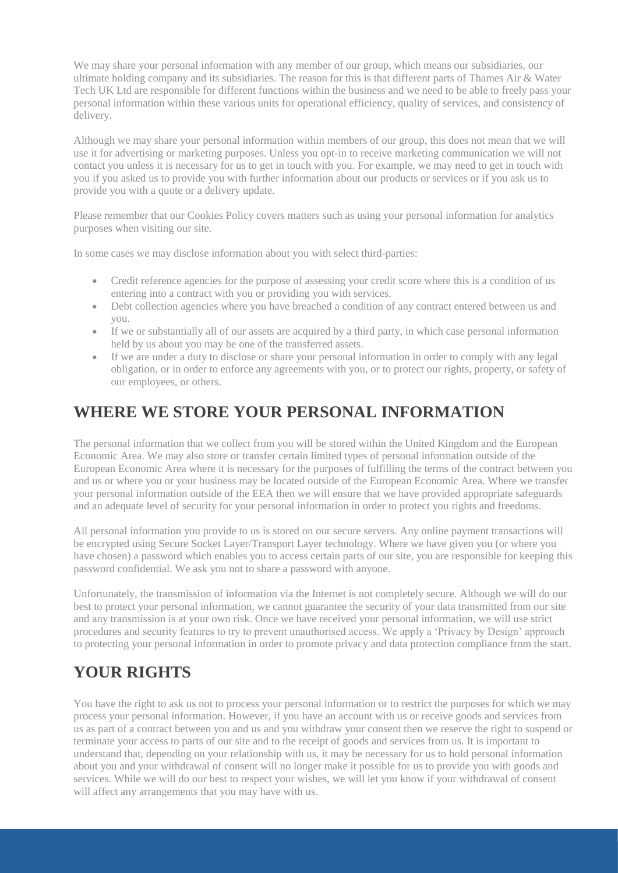We may share your personal information with any member of our group, which means our subsidiaries, our ultimate holding company and its subsidiaries. The reason for this is that different parts of Thames Air  $\&$  Water Tech UK Ltd are responsible for different functions within the business and we need to be able to freely pass your personal information within these various units for operational efficiency, quality of services, and consistency of delivery.

Although we may share your personal information within members of our group, this does not mean that we will use it for advertising or marketing purposes. Unless you opt-in to receive marketing communication we will not contact you unless it is necessary for us to get in touch with you. For example, we may need to get in touch with you if you asked us to provide you with further information about our products or services or if you ask us to provide you with a quote or a delivery update.

Please remember that our Cookies Policy covers matters such as using your personal information for analytics purposes when visiting our site.

In some cases we may disclose information about you with select third-parties:

- Credit reference agencies for the purpose of assessing your credit score where this is a condition of us entering into a contract with you or providing you with services.
- Debt collection agencies where you have breached a condition of any contract entered between us and you.
- If we or substantially all of our assets are acquired by a third party, in which case personal information held by us about you may be one of the transferred assets.
- If we are under a duty to disclose or share your personal information in order to comply with any legal obligation, or in order to enforce any agreements with you, or to protect our rights, property, or safety of our employees, or others.

### **WHERE WE STORE YOUR PERSONAL INFORMATION**

The personal information that we collect from you will be stored within the United Kingdom and the European Economic Area. We may also store or transfer certain limited types of personal information outside of the European Economic Area where it is necessary for the purposes of fulfilling the terms of the contract between you and us or where you or your business may be located outside of the European Economic Area. Where we transfer your personal information outside of the EEA then we will ensure that we have provided appropriate safeguards and an adequate level of security for your personal information in order to protect you rights and freedoms.

All personal information you provide to us is stored on our secure servers. Any online payment transactions will be encrypted using Secure Socket Layer/Transport Layer technology. Where we have given you (or where you have chosen) a password which enables you to access certain parts of our site, you are responsible for keeping this password confidential. We ask you not to share a password with anyone.

Unfortunately, the transmission of information via the Internet is not completely secure. Although we will do our best to protect your personal information, we cannot guarantee the security of your data transmitted from our site and any transmission is at your own risk. Once we have received your personal information, we will use strict procedures and security features to try to prevent unauthorised access. We apply a 'Privacy by Design' approach to protecting your personal information in order to promote privacy and data protection compliance from the start.

## **YOUR RIGHTS**

You have the right to ask us not to process your personal information or to restrict the purposes for which we may process your personal information. However, if you have an account with us or receive goods and services from us as part of a contract between you and us and you withdraw your consent then we reserve the right to suspend or terminate your access to parts of our site and to the receipt of goods and services from us. It is important to understand that, depending on your relationship with us, it may be necessary for us to hold personal information about you and your withdrawal of consent will no longer make it possible for us to provide you with goods and services. While we will do our best to respect your wishes, we will let you know if your withdrawal of consent will affect any arrangements that you may have with us.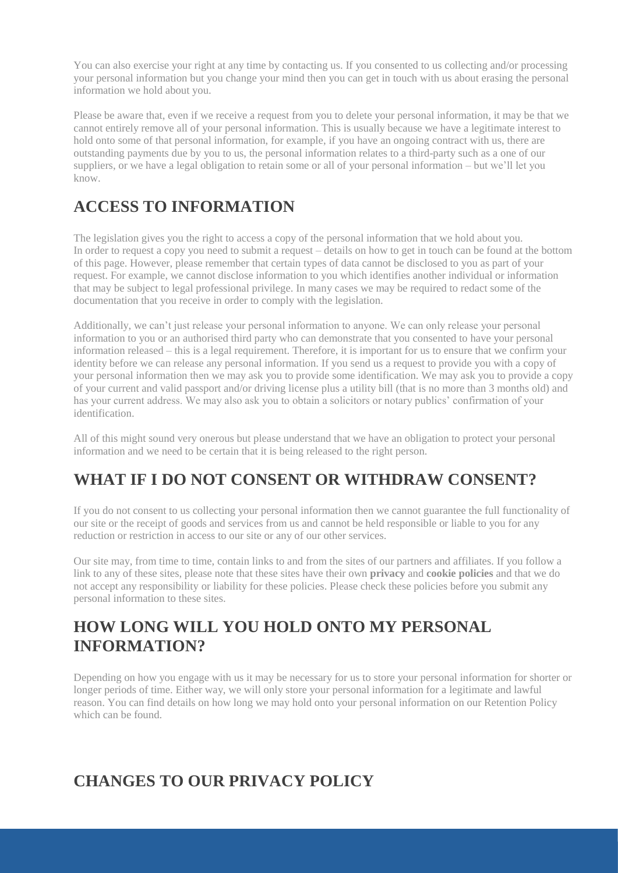You can also exercise your right at any time by contacting us. If you consented to us collecting and/or processing your personal information but you change your mind then you can get in touch with us about erasing the personal information we hold about you.

Please be aware that, even if we receive a request from you to delete your personal information, it may be that we cannot entirely remove all of your personal information. This is usually because we have a legitimate interest to hold onto some of that personal information, for example, if you have an ongoing contract with us, there are outstanding payments due by you to us, the personal information relates to a third-party such as a one of our suppliers, or we have a legal obligation to retain some or all of your personal information – but we'll let you know.

## **ACCESS TO INFORMATION**

The legislation gives you the right to access a copy of the personal information that we hold about you. In order to request a copy you need to submit a request – details on how to get in touch can be found at the bottom of this page. However, please remember that certain types of data cannot be disclosed to you as part of your request. For example, we cannot disclose information to you which identifies another individual or information that may be subject to legal professional privilege. In many cases we may be required to redact some of the documentation that you receive in order to comply with the legislation.

Additionally, we can't just release your personal information to anyone. We can only release your personal information to you or an authorised third party who can demonstrate that you consented to have your personal information released – this is a legal requirement. Therefore, it is important for us to ensure that we confirm your identity before we can release any personal information. If you send us a request to provide you with a copy of your personal information then we may ask you to provide some identification. We may ask you to provide a copy of your current and valid passport and/or driving license plus a utility bill (that is no more than 3 months old) and has your current address. We may also ask you to obtain a solicitors or notary publics' confirmation of your identification.

All of this might sound very onerous but please understand that we have an obligation to protect your personal information and we need to be certain that it is being released to the right person.

## **WHAT IF I DO NOT CONSENT OR WITHDRAW CONSENT?**

If you do not consent to us collecting your personal information then we cannot guarantee the full functionality of our site or the receipt of goods and services from us and cannot be held responsible or liable to you for any reduction or restriction in access to our site or any of our other services.

Our site may, from time to time, contain links to and from the sites of our partners and affiliates. If you follow a link to any of these sites, please note that these sites have their own **privacy** and **cookie policies** and that we do not accept any responsibility or liability for these policies. Please check these policies before you submit any personal information to these sites.

### **HOW LONG WILL YOU HOLD ONTO MY PERSONAL INFORMATION?**

Depending on how you engage with us it may be necessary for us to store your personal information for shorter or longer periods of time. Either way, we will only store your personal information for a legitimate and lawful reason. You can find details on how long we may hold onto your personal information on our Retention Policy which can be found.

### **CHANGES TO OUR PRIVACY POLICY**